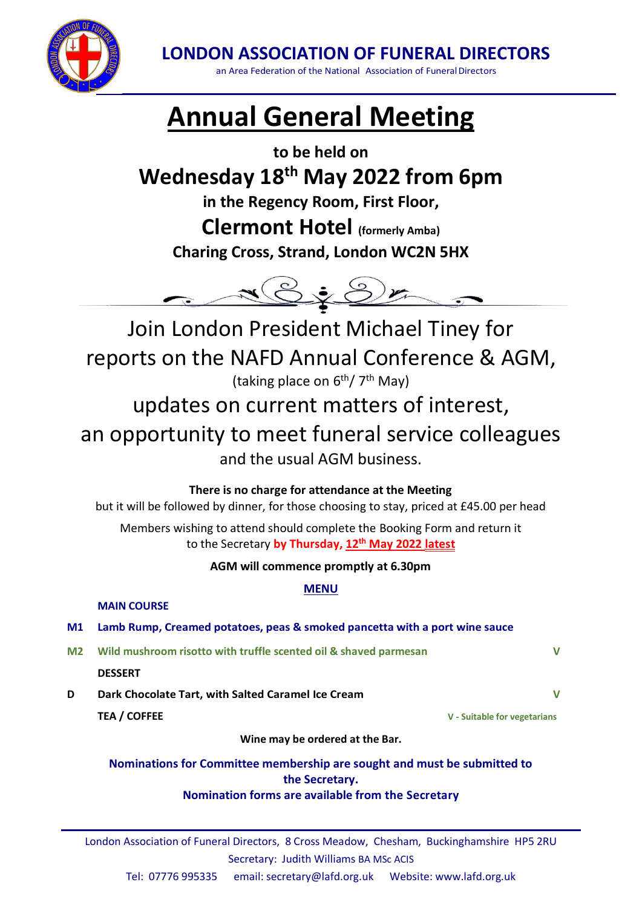

**LONDON ASSOCIATION OF FUNERAL DIRECTORS**

an Area Federation of the National Association of Funeral Directors

# **Annual General Meeting**

**to be held on**

# **Wednesday 18th May 2022 from 6pm**

**in the Regency Room, First Floor,**

**Clermont Hotel (formerly Amba) Charing Cross, Strand, London WC2N 5HX**



Join London President Michael Tiney for reports on the NAFD Annual Conference & AGM, (taking place on 6<sup>th</sup>/7<sup>th</sup> May)

updates on current matters of interest, an opportunity to meet funeral service colleagues and the usual AGM business.

**There is no charge for attendance at the Meeting** but it will be followed by dinner, for those choosing to stay, priced at £45.00 per head

Members wishing to attend should complete the Booking Form and return it to the Secretary **by Thursday, 12th May 2022 latest**

**AGM will commence promptly at 6.30pm**

**MENU**

**MAIN COURSE**

### **M1 Lamb Rump, Creamed potatoes, peas & smoked pancetta with a port wine sauce**

**M2 Wild mushroom risotto with truffle scented oil & shaved parmesan V**

#### **DESSERT**

**D Dark Chocolate Tart, with Salted Caramel Ice Cream V**

**TEA / COFFEE V - Suitable for vegetarians**

**Wine may be ordered at the Bar.**

#### **Nominations for Committee membership are sought and must be submitted to the Secretary. Nomination forms are available from [the](http://lafd.org.uk/) Secretary**

London Association of Funeral Directors, 8 Cross Meadow, Chesham, Buckinghamshire HP5 2RU Secretary: Judith Williams BA MSc ACIS